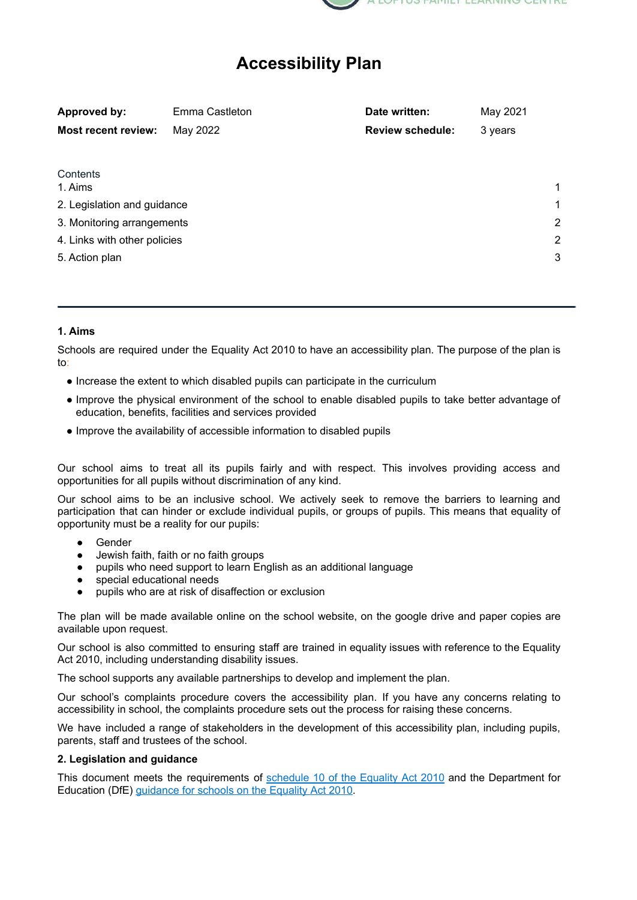

# **Accessibility Plan**

| Approved by:                 | Emma Castleton | Date written:           | May 2021 |   |
|------------------------------|----------------|-------------------------|----------|---|
| <b>Most recent review:</b>   | May 2022       | <b>Review schedule:</b> | 3 years  |   |
|                              |                |                         |          |   |
| Contents                     |                |                         |          |   |
| 1. Aims                      |                |                         |          | 1 |
| 2. Legislation and guidance  |                |                         |          | 1 |
| 3. Monitoring arrangements   |                |                         |          | 2 |
| 4. Links with other policies |                |                         |          | 2 |
| 5. Action plan               |                |                         |          | 3 |
|                              |                |                         |          |   |

### **1. Aims**

Schools are required under the Equality Act 2010 to have an accessibility plan. The purpose of the plan is to:

- Increase the extent to which disabled pupils can participate in the curriculum
- Improve the physical environment of the school to enable disabled pupils to take better advantage of education, benefits, facilities and services provided
- Improve the availability of accessible information to disabled pupils

Our school aims to treat all its pupils fairly and with respect. This involves providing access and opportunities for all pupils without discrimination of any kind.

Our school aims to be an inclusive school. We actively seek to remove the barriers to learning and participation that can hinder or exclude individual pupils, or groups of pupils. This means that equality of opportunity must be a reality for our pupils:

- Gender
- Jewish faith, faith or no faith groups
- pupils who need support to learn English as an additional language
- special educational needs
- pupils who are at risk of disaffection or exclusion

The plan will be made available online on the school website, on the google drive and paper copies are available upon request.

Our school is also committed to ensuring staff are trained in equality issues with reference to the Equality Act 2010, including understanding disability issues.

The school supports any available partnerships to develop and implement the plan.

Our school's complaints procedure covers the accessibility plan. If you have any concerns relating to accessibility in school, the complaints procedure sets out the process for raising these concerns.

We have included a range of stakeholders in the development of this accessibility plan, including pupils, parents, staff and trustees of the school.

#### **2. Legislation and guidance**

This document meets the requirements of [schedule](http://www.legislation.gov.uk/ukpga/2010/15/schedule/10) 10 of the Equality Act 2010 and the Department for Education (DfE) [guidance](https://www.gov.uk/government/publications/equality-act-2010-advice-for-schools) for schools on the Equality Act 2010.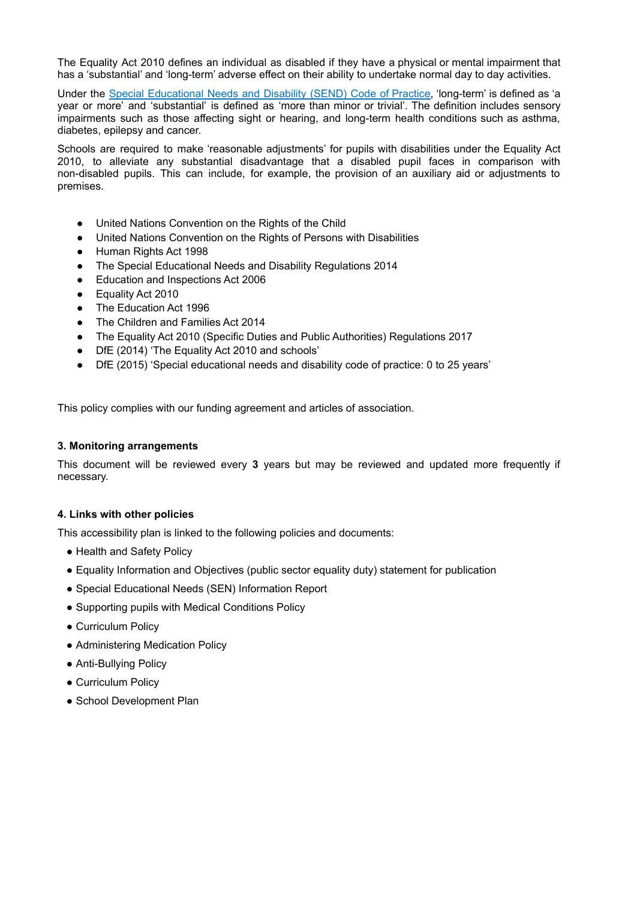The Equality Act 2010 defines an individual as disabled if they have a physical or mental impairment that has a 'substantial' and 'long-term' adverse effect on their ability to undertake normal day to day activities.

Under the Special [Educational](https://www.gov.uk/government/publications/send-code-of-practice-0-to-25) Needs and Disability (SEND) Code of Practice, 'long-term' is defined as 'a year or more' and 'substantial' is defined as 'more than minor or trivial'. The definition includes sensory impairments such as those affecting sight or hearing, and long-term health conditions such as asthma, diabetes, epilepsy and cancer.

Schools are required to make 'reasonable adjustments' for pupils with disabilities under the Equality Act 2010, to alleviate any substantial disadvantage that a disabled pupil faces in comparison with non-disabled pupils. This can include, for example, the provision of an auxiliary aid or adjustments to premises.

- United Nations Convention on the Rights of the Child
- United Nations Convention on the Rights of Persons with Disabilities
- Human Rights Act 1998
- The Special Educational Needs and Disability Regulations 2014
- Education and Inspections Act 2006
- Equality Act 2010
- The Education Act 1996
- The Children and Families Act 2014
- The Equality Act 2010 (Specific Duties and Public Authorities) Regulations 2017
- DfE (2014) 'The Equality Act 2010 and schools'
- DfE (2015) 'Special educational needs and disability code of practice: 0 to 25 years'

<span id="page-1-0"></span>This policy complies with our funding agreement and articles of association.

#### **3. Monitoring arrangements**

This document will be reviewed every **3** years but may be reviewed and updated more frequently if necessary.

#### **4. Links with other policies**

This accessibility plan is linked to the following policies and documents:

- Health and Safety Policy
- Equality Information and Objectives (public sector equality duty) statement for publication
- Special Educational Needs (SEN) Information Report
- Supporting pupils with Medical Conditions Policy
- Curriculum Policy
- Administering Medication Policy
- Anti-Bullying Policy
- Curriculum Policy
- School Development Plan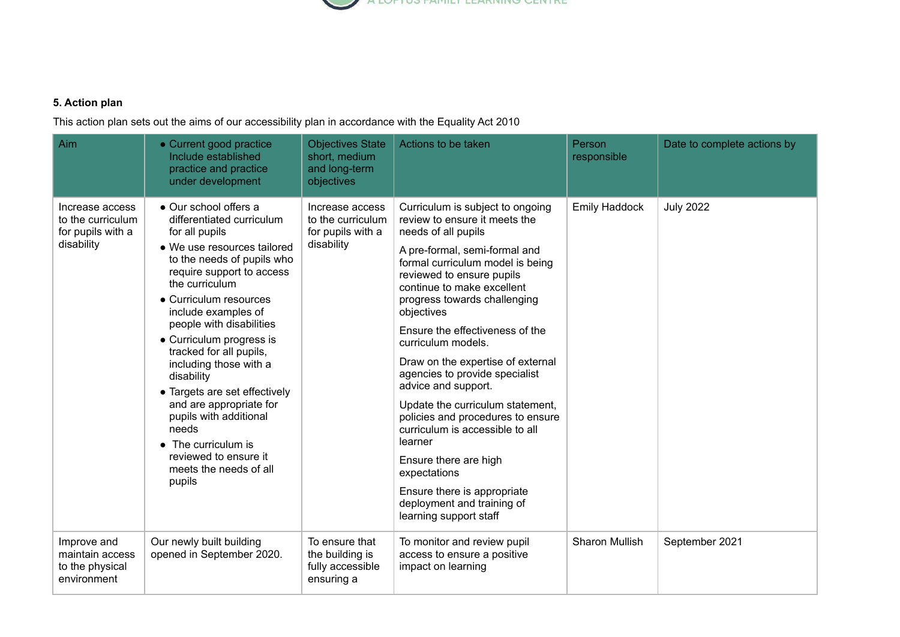

## **5. Action plan**

This action plan sets out the aims of our accessibility plan in accordance with the Equality Act 2010

| Aim                                                                     | • Current good practice<br>Include established<br>practice and practice<br>under development                                                                                                                                                                                                                                                                                                                                                                                                                                                    | <b>Objectives State</b><br>short, medium<br>and long-term<br>objectives | Actions to be taken                                                                                                                                                                                                                                                                                                                                                                                                                                                                                                                                                                                                                                                                  | Person<br>responsible | Date to complete actions by |
|-------------------------------------------------------------------------|-------------------------------------------------------------------------------------------------------------------------------------------------------------------------------------------------------------------------------------------------------------------------------------------------------------------------------------------------------------------------------------------------------------------------------------------------------------------------------------------------------------------------------------------------|-------------------------------------------------------------------------|--------------------------------------------------------------------------------------------------------------------------------------------------------------------------------------------------------------------------------------------------------------------------------------------------------------------------------------------------------------------------------------------------------------------------------------------------------------------------------------------------------------------------------------------------------------------------------------------------------------------------------------------------------------------------------------|-----------------------|-----------------------------|
| Increase access<br>to the curriculum<br>for pupils with a<br>disability | • Our school offers a<br>differentiated curriculum<br>for all pupils<br>• We use resources tailored<br>to the needs of pupils who<br>require support to access<br>the curriculum<br>• Curriculum resources<br>include examples of<br>people with disabilities<br>• Curriculum progress is<br>tracked for all pupils,<br>including those with a<br>disability<br>• Targets are set effectively<br>and are appropriate for<br>pupils with additional<br>needs<br>• The curriculum is<br>reviewed to ensure it<br>meets the needs of all<br>pupils | Increase access<br>to the curriculum<br>for pupils with a<br>disability | Curriculum is subject to ongoing<br>review to ensure it meets the<br>needs of all pupils<br>A pre-formal, semi-formal and<br>formal curriculum model is being<br>reviewed to ensure pupils<br>continue to make excellent<br>progress towards challenging<br>objectives<br>Ensure the effectiveness of the<br>curriculum models.<br>Draw on the expertise of external<br>agencies to provide specialist<br>advice and support.<br>Update the curriculum statement,<br>policies and procedures to ensure<br>curriculum is accessible to all<br>learner<br>Ensure there are high<br>expectations<br>Ensure there is appropriate<br>deployment and training of<br>learning support staff | <b>Emily Haddock</b>  | <b>July 2022</b>            |
| Improve and<br>maintain access<br>to the physical<br>environment        | Our newly built building<br>opened in September 2020.                                                                                                                                                                                                                                                                                                                                                                                                                                                                                           | To ensure that<br>the building is<br>fully accessible<br>ensuring a     | To monitor and review pupil<br>access to ensure a positive<br>impact on learning                                                                                                                                                                                                                                                                                                                                                                                                                                                                                                                                                                                                     | <b>Sharon Mullish</b> | September 2021              |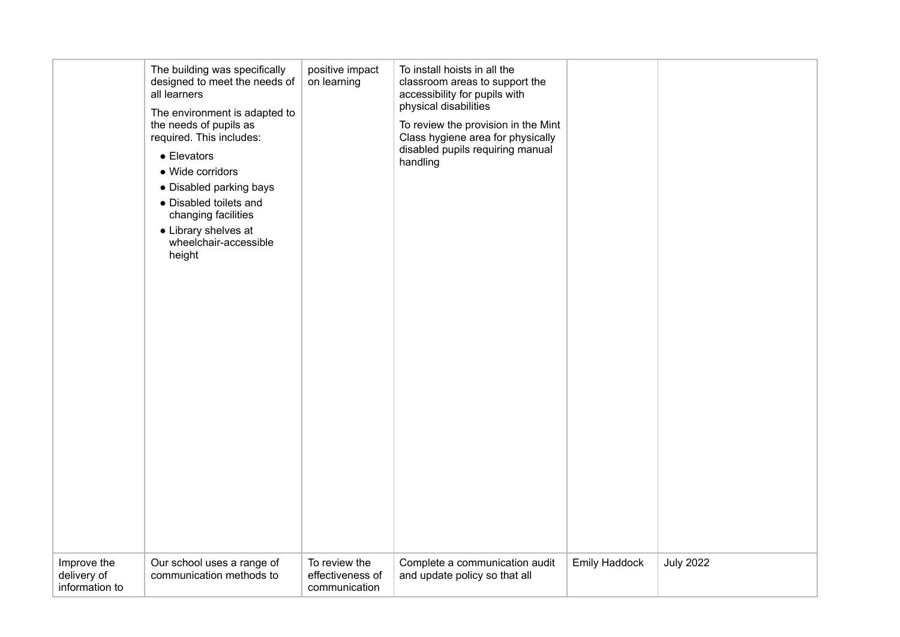|                                              | The building was specifically<br>designed to meet the needs of<br>all learners<br>The environment is adapted to<br>the needs of pupils as<br>required. This includes:<br>$\bullet$ Elevators<br>• Wide corridors<br>• Disabled parking bays<br>• Disabled toilets and<br>changing facilities<br>• Library shelves at<br>wheelchair-accessible<br>height | positive impact<br>on learning                     | To install hoists in all the<br>classroom areas to support the<br>accessibility for pupils with<br>physical disabilities<br>To review the provision in the Mint<br>Class hygiene area for physically<br>disabled pupils requiring manual<br>handling |                      |                  |
|----------------------------------------------|---------------------------------------------------------------------------------------------------------------------------------------------------------------------------------------------------------------------------------------------------------------------------------------------------------------------------------------------------------|----------------------------------------------------|------------------------------------------------------------------------------------------------------------------------------------------------------------------------------------------------------------------------------------------------------|----------------------|------------------|
| Improve the<br>delivery of<br>information to | Our school uses a range of<br>communication methods to                                                                                                                                                                                                                                                                                                  | To review the<br>effectiveness of<br>communication | Complete a communication audit<br>and update policy so that all                                                                                                                                                                                      | <b>Emily Haddock</b> | <b>July 2022</b> |